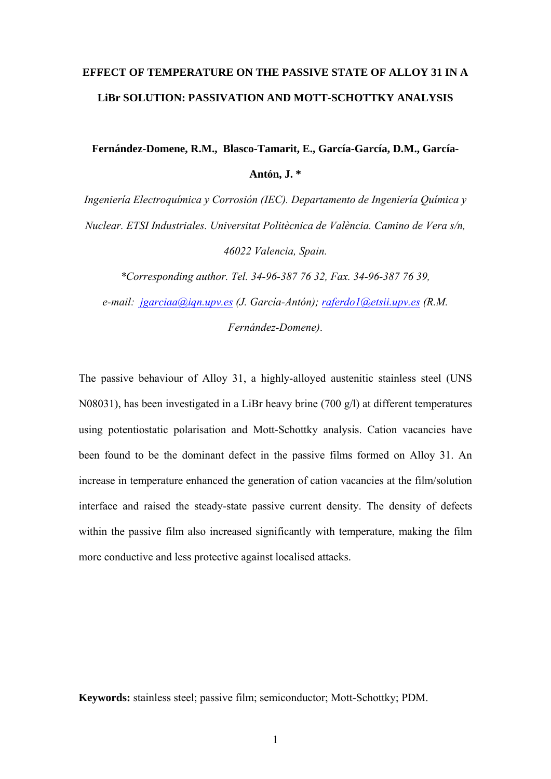# **EFFECT OF TEMPERATURE ON THE PASSIVE STATE OF ALLOY 31 IN A LiBr SOLUTION: PASSIVATION AND MOTT-SCHOTTKY ANALYSIS**

**Fernández-Domene, R.M., Blasco-Tamarit, E., García-García, D.M., García-Antón, J. \***

*Ingeniería Electroquímica y Corrosión (IEC). Departamento de Ingeniería Química y Nuclear. ETSI Industriales. Universitat Politècnica de València. Camino de Vera s/n, 46022 Valencia, Spain.* 

*\*Corresponding author. Tel. 34-96-387 76 32, Fax. 34-96-387 76 39,* 

*e-mail: jgarciaa@iqn.upv.es (J. García-Antón); raferdo1@etsii.upv.es (R.M. Fernández-Domene)*.

The passive behaviour of Alloy 31, a highly-alloyed austenitic stainless steel (UNS N08031), has been investigated in a LiBr heavy brine (700 g/l) at different temperatures using potentiostatic polarisation and Mott-Schottky analysis. Cation vacancies have been found to be the dominant defect in the passive films formed on Alloy 31. An increase in temperature enhanced the generation of cation vacancies at the film/solution interface and raised the steady-state passive current density. The density of defects within the passive film also increased significantly with temperature, making the film more conductive and less protective against localised attacks.

**Keywords:** stainless steel; passive film; semiconductor; Mott-Schottky; PDM.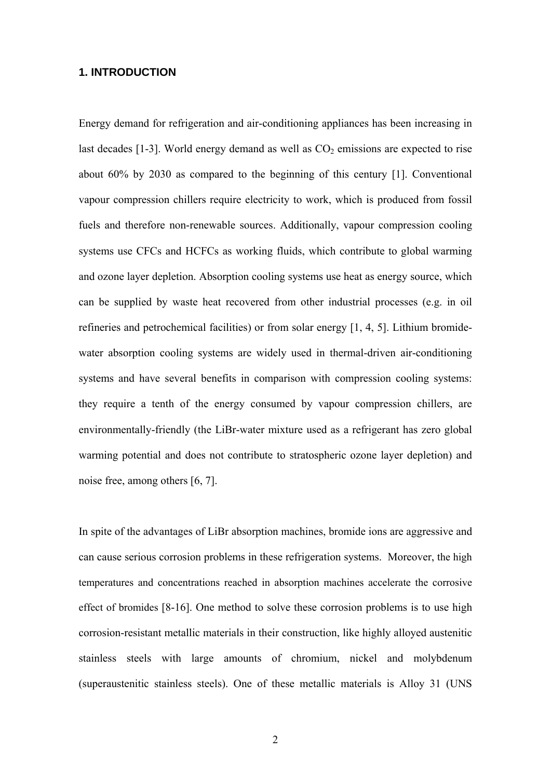## **1. INTRODUCTION**

Energy demand for refrigeration and air-conditioning appliances has been increasing in last decades  $[1-3]$ . World energy demand as well as  $CO<sub>2</sub>$  emissions are expected to rise about 60% by 2030 as compared to the beginning of this century [1]. Conventional vapour compression chillers require electricity to work, which is produced from fossil fuels and therefore non-renewable sources. Additionally, vapour compression cooling systems use CFCs and HCFCs as working fluids, which contribute to global warming and ozone layer depletion. Absorption cooling systems use heat as energy source, which can be supplied by waste heat recovered from other industrial processes (e.g. in oil refineries and petrochemical facilities) or from solar energy [1, 4, 5]. Lithium bromidewater absorption cooling systems are widely used in thermal-driven air-conditioning systems and have several benefits in comparison with compression cooling systems: they require a tenth of the energy consumed by vapour compression chillers, are environmentally-friendly (the LiBr-water mixture used as a refrigerant has zero global warming potential and does not contribute to stratospheric ozone layer depletion) and noise free, among others [6, 7].

In spite of the advantages of LiBr absorption machines, bromide ions are aggressive and can cause serious corrosion problems in these refrigeration systems. Moreover, the high temperatures and concentrations reached in absorption machines accelerate the corrosive effect of bromides [8-16]. One method to solve these corrosion problems is to use high corrosion-resistant metallic materials in their construction, like highly alloyed austenitic stainless steels with large amounts of chromium, nickel and molybdenum (superaustenitic stainless steels). One of these metallic materials is Alloy 31 (UNS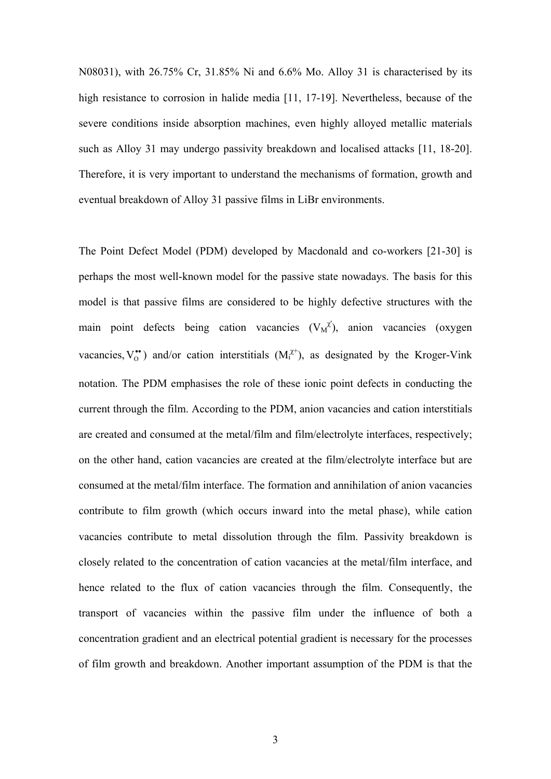N08031), with 26.75% Cr, 31.85% Ni and 6.6% Mo. Alloy 31 is characterised by its high resistance to corrosion in halide media [11, 17-19]. Nevertheless, because of the severe conditions inside absorption machines, even highly alloyed metallic materials such as Alloy 31 may undergo passivity breakdown and localised attacks [11, 18-20]. Therefore, it is very important to understand the mechanisms of formation, growth and eventual breakdown of Alloy 31 passive films in LiBr environments.

The Point Defect Model (PDM) developed by Macdonald and co-workers [21-30] is perhaps the most well-known model for the passive state nowadays. The basis for this model is that passive films are considered to be highly defective structures with the main point defects being cation vacancies  $(V_M^{\chi'})$ , anion vacancies (oxygen vacancies,  $V_0^{\bullet\bullet}$ ) and/or cation interstitials  $(M_i^{\chi\uparrow})$ , as designated by the Kroger-Vink notation. The PDM emphasises the role of these ionic point defects in conducting the current through the film. According to the PDM, anion vacancies and cation interstitials are created and consumed at the metal/film and film/electrolyte interfaces, respectively; on the other hand, cation vacancies are created at the film/electrolyte interface but are consumed at the metal/film interface. The formation and annihilation of anion vacancies contribute to film growth (which occurs inward into the metal phase), while cation vacancies contribute to metal dissolution through the film. Passivity breakdown is closely related to the concentration of cation vacancies at the metal/film interface, and hence related to the flux of cation vacancies through the film. Consequently, the transport of vacancies within the passive film under the influence of both a concentration gradient and an electrical potential gradient is necessary for the processes of film growth and breakdown. Another important assumption of the PDM is that the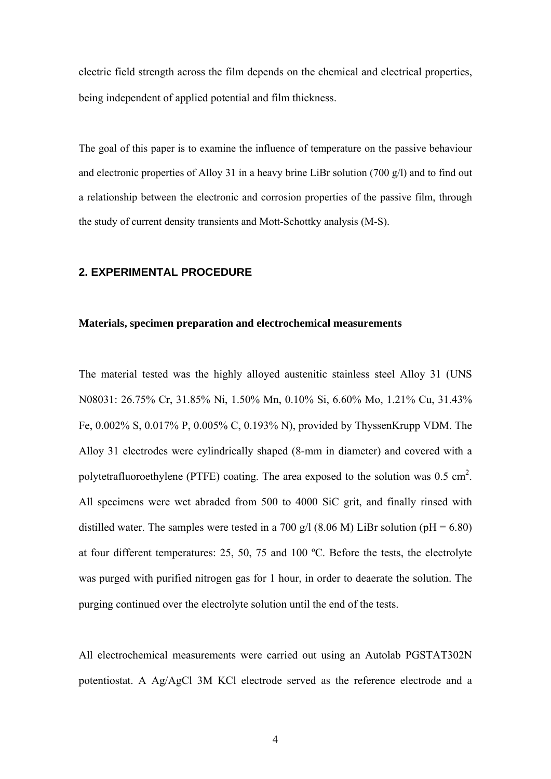electric field strength across the film depends on the chemical and electrical properties, being independent of applied potential and film thickness.

The goal of this paper is to examine the influence of temperature on the passive behaviour and electronic properties of Alloy 31 in a heavy brine LiBr solution (700 g/l) and to find out a relationship between the electronic and corrosion properties of the passive film, through the study of current density transients and Mott-Schottky analysis (M-S).

## **2. EXPERIMENTAL PROCEDURE**

## **Materials, specimen preparation and electrochemical measurements**

The material tested was the highly alloyed austenitic stainless steel Alloy 31 (UNS N08031: 26.75% Cr, 31.85% Ni, 1.50% Mn, 0.10% Si, 6.60% Mo, 1.21% Cu, 31.43% Fe, 0.002% S, 0.017% P, 0.005% C, 0.193% N), provided by ThyssenKrupp VDM. The Alloy 31 electrodes were cylindrically shaped (8-mm in diameter) and covered with a polytetrafluoroethylene (PTFE) coating. The area exposed to the solution was  $0.5 \text{ cm}^2$ . All specimens were wet abraded from 500 to 4000 SiC grit, and finally rinsed with distilled water. The samples were tested in a 700 g/l (8.06 M) LiBr solution (pH =  $6.80$ ) at four different temperatures: 25, 50, 75 and 100 ºC. Before the tests, the electrolyte was purged with purified nitrogen gas for 1 hour, in order to deaerate the solution. The purging continued over the electrolyte solution until the end of the tests.

All electrochemical measurements were carried out using an Autolab PGSTAT302N potentiostat. A Ag/AgCl 3M KCl electrode served as the reference electrode and a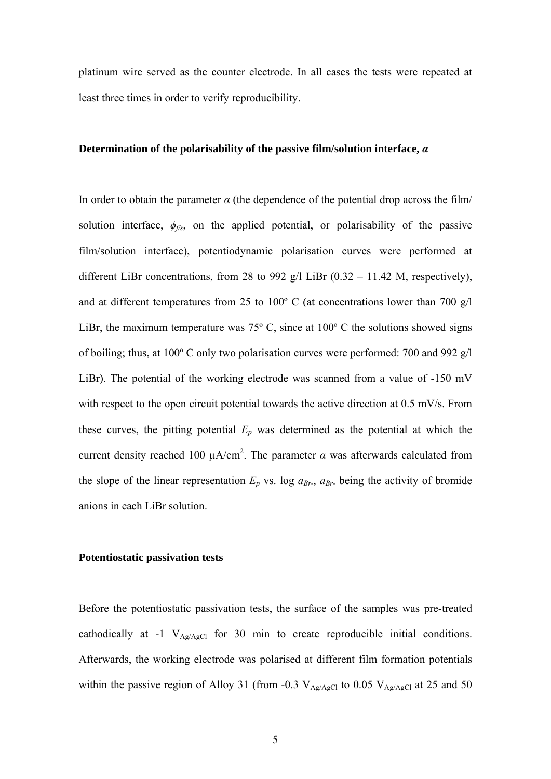platinum wire served as the counter electrode. In all cases the tests were repeated at least three times in order to verify reproducibility.

# **Determination of the polarisability of the passive film/solution interface,** *α*

In order to obtain the parameter  $\alpha$  (the dependence of the potential drop across the film/ solution interface,  $\phi_{\text{f/s}}$ , on the applied potential, or polarisability of the passive film/solution interface), potentiodynamic polarisation curves were performed at different LiBr concentrations, from 28 to 992 g/l LiBr  $(0.32 - 11.42 \text{ M})$ , respectively), and at different temperatures from 25 to 100º C (at concentrations lower than 700 g/l LiBr, the maximum temperature was  $75^{\circ}$  C, since at  $100^{\circ}$  C the solutions showed signs of boiling; thus, at 100º C only two polarisation curves were performed: 700 and 992 g/l LiBr). The potential of the working electrode was scanned from a value of -150 mV with respect to the open circuit potential towards the active direction at 0.5 mV/s. From these curves, the pitting potential  $E_p$  was determined as the potential at which the current density reached 100  $\mu A/cm^2$ . The parameter  $\alpha$  was afterwards calculated from the slope of the linear representation  $E_p$  vs. log  $a_{Br}$ ,  $a_{Br}$ , being the activity of bromide anions in each LiBr solution.

## **Potentiostatic passivation tests**

Before the potentiostatic passivation tests, the surface of the samples was pre-treated cathodically at -1  $V_{Ag/AgCl}$  for 30 min to create reproducible initial conditions. Afterwards, the working electrode was polarised at different film formation potentials within the passive region of Alloy 31 (from -0.3  $V_{Ag/AgCl}$  to 0.05  $V_{Ag/AgCl}$  at 25 and 50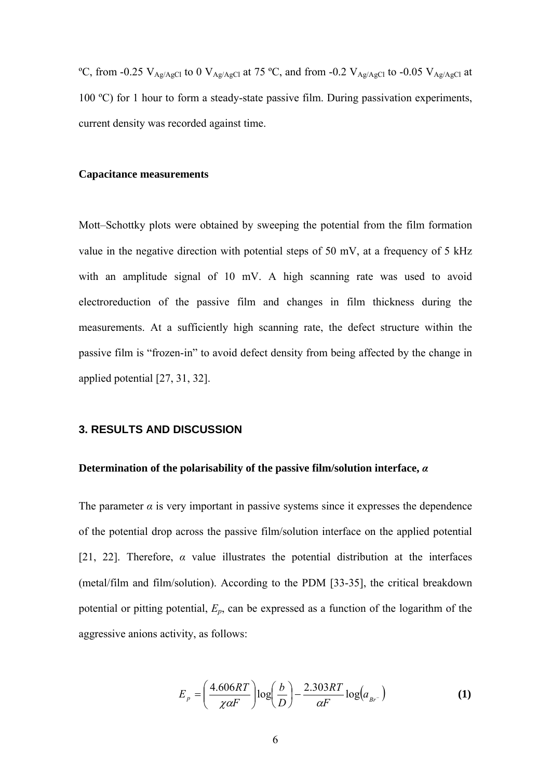<sup>o</sup>C, from -0.25 V<sub>Ag/AgCl</sub> to 0 V<sub>Ag/AgCl</sub> at 75 <sup>o</sup>C, and from -0.2 V<sub>Ag/AgCl</sub> to -0.05 V<sub>Ag/AgCl</sub> at 100 ºC) for 1 hour to form a steady-state passive film. During passivation experiments, current density was recorded against time.

#### **Capacitance measurements**

Mott–Schottky plots were obtained by sweeping the potential from the film formation value in the negative direction with potential steps of 50 mV, at a frequency of 5 kHz with an amplitude signal of 10 mV. A high scanning rate was used to avoid electroreduction of the passive film and changes in film thickness during the measurements. At a sufficiently high scanning rate, the defect structure within the passive film is "frozen-in" to avoid defect density from being affected by the change in applied potential [27, 31, 32].

## **3. RESULTS AND DISCUSSION**

#### **Determination of the polarisability of the passive film/solution interface,** *α*

The parameter  $\alpha$  is very important in passive systems since it expresses the dependence of the potential drop across the passive film/solution interface on the applied potential [21, 22]. Therefore,  $\alpha$  value illustrates the potential distribution at the interfaces (metal/film and film/solution). According to the PDM [33-35], the critical breakdown potential or pitting potential, *Ep*, can be expressed as a function of the logarithm of the aggressive anions activity, as follows:

$$
E_p = \left(\frac{4.606RT}{\chi\alpha F}\right) \log\left(\frac{b}{D}\right) - \frac{2.303RT}{\alpha F} \log(a_{Br})\tag{1}
$$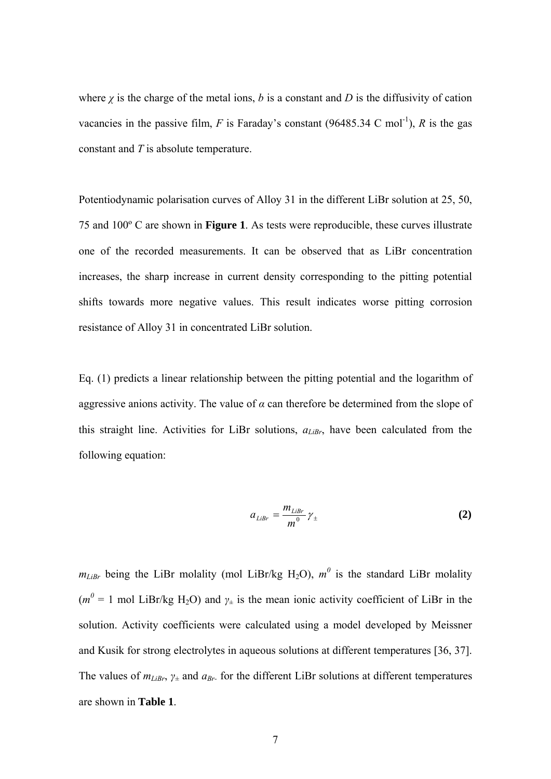where  $\chi$  is the charge of the metal ions, *b* is a constant and *D* is the diffusivity of cation vacancies in the passive film,  $F$  is Faraday's constant (96485.34 C mol<sup>-1</sup>),  $R$  is the gas constant and *T* is absolute temperature.

Potentiodynamic polarisation curves of Alloy 31 in the different LiBr solution at 25, 50, 75 and 100º C are shown in **Figure 1**. As tests were reproducible, these curves illustrate one of the recorded measurements. It can be observed that as LiBr concentration increases, the sharp increase in current density corresponding to the pitting potential shifts towards more negative values. This result indicates worse pitting corrosion resistance of Alloy 31 in concentrated LiBr solution.

Eq. (1) predicts a linear relationship between the pitting potential and the logarithm of aggressive anions activity. The value of  $\alpha$  can therefore be determined from the slope of this straight line. Activities for LiBr solutions,  $a_{\text{LiBr}}$ , have been calculated from the following equation:

$$
a_{\text{LiBr}} = \frac{m_{\text{LiBr}}}{m^0} \gamma_{\pm} \tag{2}
$$

 $m_{Libr}$  being the LiBr molality (mol LiBr/kg H<sub>2</sub>O),  $m^0$  is the standard LiBr molality  $(m^0 = 1 \text{ mol } \text{LiBr/kg H}_2\text{O})$  and  $\gamma_{\pm}$  is the mean ionic activity coefficient of LiBr in the solution. Activity coefficients were calculated using a model developed by Meissner and Kusik for strong electrolytes in aqueous solutions at different temperatures [36, 37]. The values of  $m_{\text{LiBr}}$ ,  $\gamma_{\pm}$  and  $a_{\text{Br}}$  for the different LiBr solutions at different temperatures are shown in **Table 1**.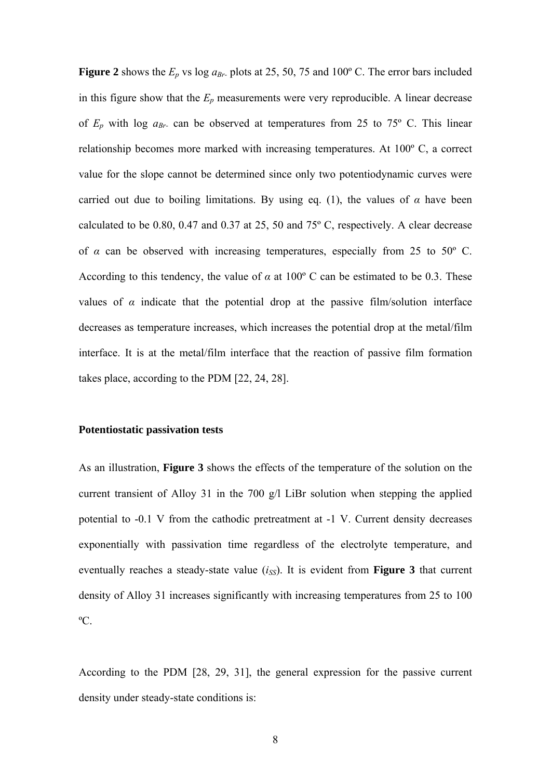**Figure 2** shows the  $E_p$  vs log  $a_{Br}$  plots at 25, 50, 75 and 100° C. The error bars included in this figure show that the  $E_p$  measurements were very reproducible. A linear decrease of  $E_p$  with log  $a_{Br}$  can be observed at temperatures from 25 to 75<sup>o</sup> C. This linear relationship becomes more marked with increasing temperatures. At 100º C, a correct value for the slope cannot be determined since only two potentiodynamic curves were carried out due to boiling limitations. By using eq. (1), the values of  $\alpha$  have been calculated to be 0.80, 0.47 and 0.37 at 25, 50 and  $75^{\circ}$  C, respectively. A clear decrease of  $\alpha$  can be observed with increasing temperatures, especially from 25 to 50 $^{\circ}$  C. According to this tendency, the value of  $\alpha$  at 100<sup>o</sup> C can be estimated to be 0.3. These values of  $\alpha$  indicate that the potential drop at the passive film/solution interface decreases as temperature increases, which increases the potential drop at the metal/film interface. It is at the metal/film interface that the reaction of passive film formation takes place, according to the PDM [22, 24, 28].

## **Potentiostatic passivation tests**

As an illustration, **Figure 3** shows the effects of the temperature of the solution on the current transient of Alloy 31 in the 700 g/l LiBr solution when stepping the applied potential to -0.1 V from the cathodic pretreatment at -1 V. Current density decreases exponentially with passivation time regardless of the electrolyte temperature, and eventually reaches a steady-state value  $(i_{SS})$ . It is evident from **Figure 3** that current density of Alloy 31 increases significantly with increasing temperatures from 25 to 100 ºC.

According to the PDM [28, 29, 31], the general expression for the passive current density under steady-state conditions is: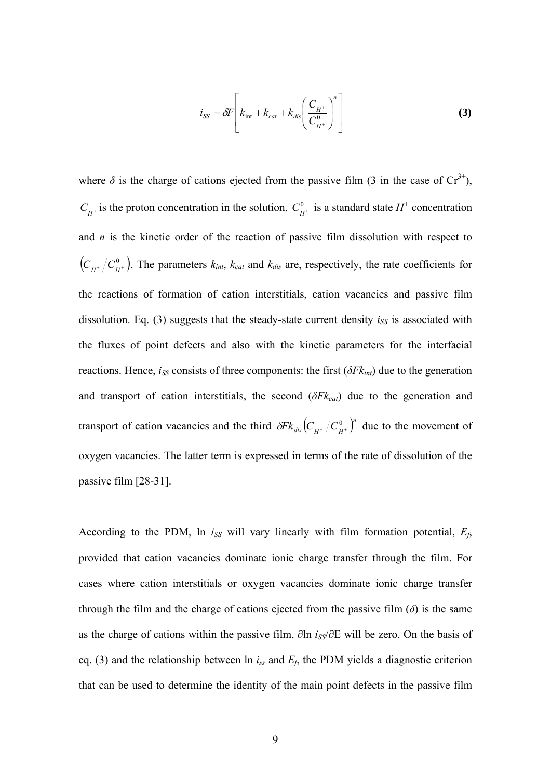$$
i_{SS} = \delta F \left[ k_{\text{int}} + k_{\text{cat}} + k_{\text{dis}} \left( \frac{C_{H^+}}{C_{H^+}^0} \right)^n \right]
$$
 (3)

where  $\delta$  is the charge of cations ejected from the passive film (3 in the case of Cr<sup>3+</sup>),  $C_{H^+}$  is the proton concentration in the solution,  $C_{H^+}^0$  is a standard state  $H^+$  concentration and *n* is the kinetic order of the reaction of passive film dissolution with respect to  $(C_{H^+}/C_{H^+}^0)$ . The parameters  $k_{int}$ ,  $k_{cat}$  and  $k_{dis}$  are, respectively, the rate coefficients for the reactions of formation of cation interstitials, cation vacancies and passive film dissolution. Eq.  $(3)$  suggests that the steady-state current density  $i_{SS}$  is associated with the fluxes of point defects and also with the kinetic parameters for the interfacial reactions. Hence,  $i_{SS}$  consists of three components: the first  $(\delta F k_{int})$  due to the generation and transport of cation interstitials, the second  $(\delta F k_{cat})$  due to the generation and transport of cation vacancies and the third  $\delta F k_{dis} (C_{H^+}/C_{H^+}^0)^n$  due to the movement of oxygen vacancies. The latter term is expressed in terms of the rate of dissolution of the passive film [28-31].

According to the PDM,  $\ln i_{SS}$  will vary linearly with film formation potential,  $E_f$ , provided that cation vacancies dominate ionic charge transfer through the film. For cases where cation interstitials or oxygen vacancies dominate ionic charge transfer through the film and the charge of cations ejected from the passive film  $(\delta)$  is the same as the charge of cations within the passive film, ∂ln *iSS*/∂E will be zero. On the basis of eq. (3) and the relationship between ln *iss* and *Ef*, the PDM yields a diagnostic criterion that can be used to determine the identity of the main point defects in the passive film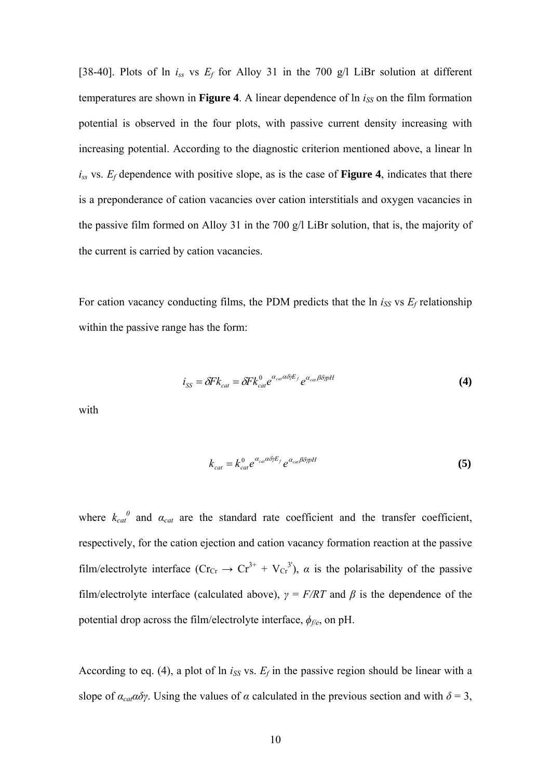[38-40]. Plots of ln *iss* vs *Ef* for Alloy 31 in the 700 g/l LiBr solution at different temperatures are shown in **Figure 4**. A linear dependence of  $\ln i_{SS}$  on the film formation potential is observed in the four plots, with passive current density increasing with increasing potential. According to the diagnostic criterion mentioned above, a linear ln  $i_{ss}$  vs.  $E_f$  dependence with positive slope, as is the case of **Figure 4**, indicates that there is a preponderance of cation vacancies over cation interstitials and oxygen vacancies in the passive film formed on Alloy 31 in the 700 g/l LiBr solution, that is, the majority of the current is carried by cation vacancies.

For cation vacancy conducting films, the PDM predicts that the  $\ln i_{SS}$  vs  $E_f$  relationship within the passive range has the form:

$$
i_{SS} = \delta F k_{cat} = \delta F k_{cat}^0 e^{\alpha_{cat} \alpha \delta \gamma E_f} e^{\alpha_{cat} \beta \delta \gamma pH}
$$
(4)

with

$$
k_{cat} = k_{cat}^0 e^{\alpha_{cat} \alpha \delta \gamma E_f} e^{\alpha_{cat} \beta \delta \gamma \rho H}
$$
\n(5)

where  $k_{cat}^{0}$  and  $\alpha_{cat}$  are the standard rate coefficient and the transfer coefficient, respectively, for the cation ejection and cation vacancy formation reaction at the passive film/electrolyte interface  $(Cr_{Cr} \rightarrow Cr^{3+} + V_{Cr}^{3})$ ,  $\alpha$  is the polarisability of the passive film/electrolyte interface (calculated above),  $\gamma = F/RT$  and  $\beta$  is the dependence of the potential drop across the film/electrolyte interface, *ϕf/e*, on pH.

According to eq. (4), a plot of  $\ln i_{SS}$  vs.  $E_f$  in the passive region should be linear with a slope of  $\alpha_{\text{cat}}\alpha\delta\gamma$ . Using the values of  $\alpha$  calculated in the previous section and with  $\delta = 3$ ,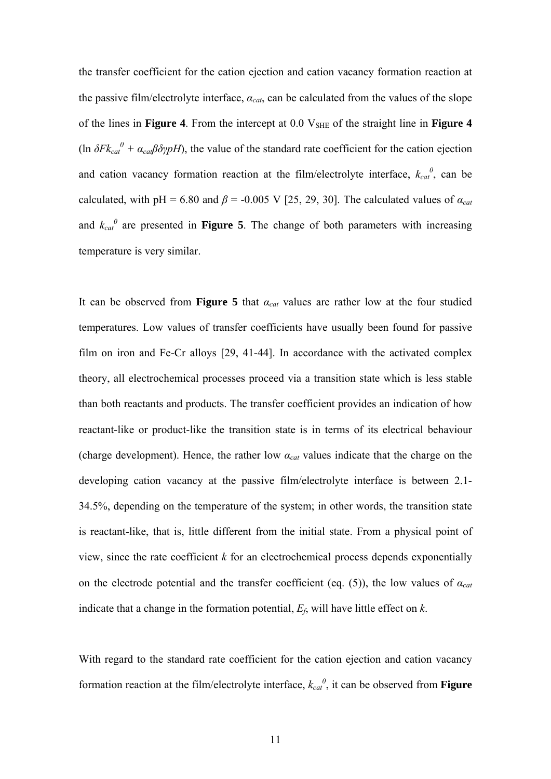the transfer coefficient for the cation ejection and cation vacancy formation reaction at the passive film/electrolyte interface,  $a_{cat}$ , can be calculated from the values of the slope of the lines in **Figure 4**. From the intercept at 0.0 V<sub>SHE</sub> of the straight line in **Figure 4** (ln  $\delta F k_{cat}^0 + \alpha_{cat} \beta \delta \gamma pH$ ), the value of the standard rate coefficient for the cation ejection and cation vacancy formation reaction at the film/electrolyte interface,  $k_{cat}^{0}$ , can be calculated, with pH = 6.80 and  $\beta$  = -0.005 V [25, 29, 30]. The calculated values of  $\alpha_{cat}$ and  $k_{cat}$ <sup>0</sup> are presented in **Figure 5**. The change of both parameters with increasing temperature is very similar.

It can be observed from **Figure 5** that  $a_{cat}$  values are rather low at the four studied temperatures. Low values of transfer coefficients have usually been found for passive film on iron and Fe-Cr alloys [29, 41-44]. In accordance with the activated complex theory, all electrochemical processes proceed via a transition state which is less stable than both reactants and products. The transfer coefficient provides an indication of how reactant-like or product-like the transition state is in terms of its electrical behaviour (charge development). Hence, the rather low *αcat* values indicate that the charge on the developing cation vacancy at the passive film/electrolyte interface is between 2.1- 34.5%, depending on the temperature of the system; in other words, the transition state is reactant-like, that is, little different from the initial state. From a physical point of view, since the rate coefficient *k* for an electrochemical process depends exponentially on the electrode potential and the transfer coefficient (eq. (5)), the low values of *αcat* indicate that a change in the formation potential, *Ef*, will have little effect on *k*.

With regard to the standard rate coefficient for the cation ejection and cation vacancy formation reaction at the film/electrolyte interface,  $k_{cat}^{0}$ , it can be observed from **Figure**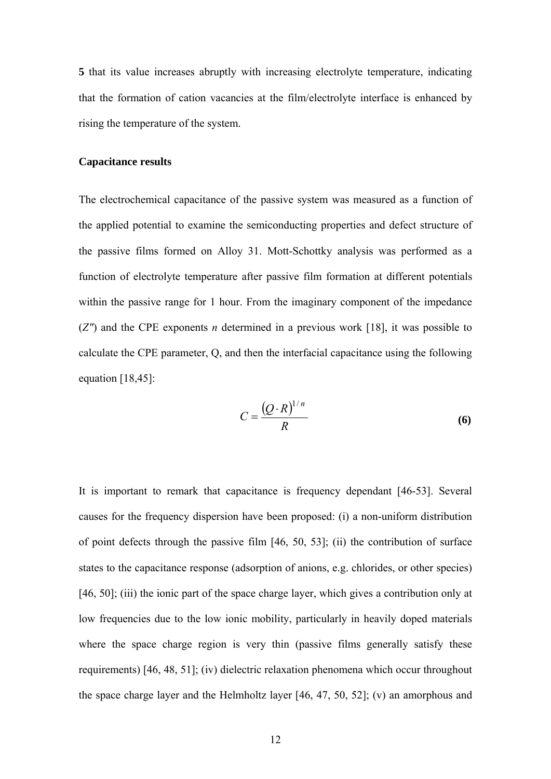**5** that its value increases abruptly with increasing electrolyte temperature, indicating that the formation of cation vacancies at the film/electrolyte interface is enhanced by rising the temperature of the system.

## **Capacitance results**

The electrochemical capacitance of the passive system was measured as a function of the applied potential to examine the semiconducting properties and defect structure of the passive films formed on Alloy 31. Mott-Schottky analysis was performed as a function of electrolyte temperature after passive film formation at different potentials within the passive range for 1 hour. From the imaginary component of the impedance (*Z"*) and the CPE exponents *n* determined in a previous work [18], it was possible to calculate the CPE parameter, Q, and then the interfacial capacitance using the following equation  $[18, 45]$ :

$$
C = \frac{(Q \cdot R)^{1/n}}{R} \tag{6}
$$

It is important to remark that capacitance is frequency dependant [46-53]. Several causes for the frequency dispersion have been proposed: (i) a non-uniform distribution of point defects through the passive film [46, 50, 53]; (ii) the contribution of surface states to the capacitance response (adsorption of anions, e.g. chlorides, or other species) [46, 50]; (iii) the ionic part of the space charge layer, which gives a contribution only at low frequencies due to the low ionic mobility, particularly in heavily doped materials where the space charge region is very thin (passive films generally satisfy these requirements) [46, 48, 51]; (iv) dielectric relaxation phenomena which occur throughout the space charge layer and the Helmholtz layer [46, 47, 50, 52]; (v) an amorphous and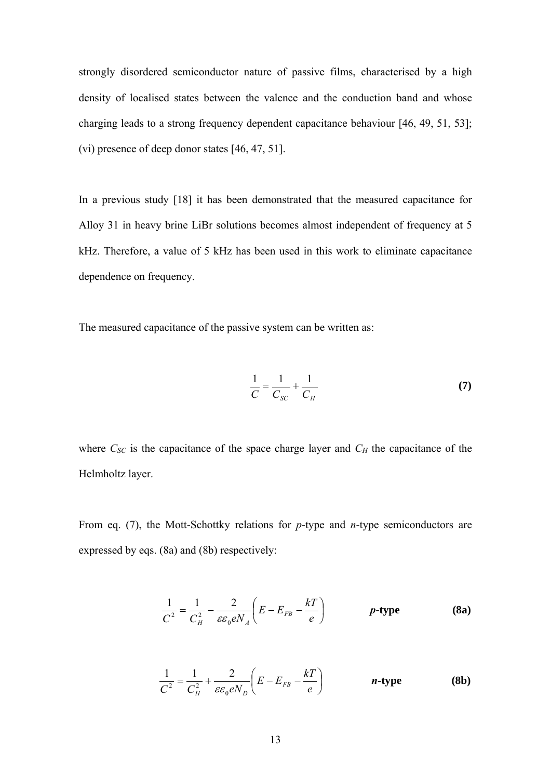strongly disordered semiconductor nature of passive films, characterised by a high density of localised states between the valence and the conduction band and whose charging leads to a strong frequency dependent capacitance behaviour [46, 49, 51, 53]; (vi) presence of deep donor states [46, 47, 51].

In a previous study [18] it has been demonstrated that the measured capacitance for Alloy 31 in heavy brine LiBr solutions becomes almost independent of frequency at 5 kHz. Therefore, a value of 5 kHz has been used in this work to eliminate capacitance dependence on frequency.

The measured capacitance of the passive system can be written as:

$$
\frac{1}{C} = \frac{1}{C_{SC}} + \frac{1}{C_H} \tag{7}
$$

where  $C_{SC}$  is the capacitance of the space charge layer and  $C_H$  the capacitance of the Helmholtz layer.

From eq. (7), the Mott-Schottky relations for *p*-type and *n*-type semiconductors are expressed by eqs. (8a) and (8b) respectively:

$$
\frac{1}{C^2} = \frac{1}{C_H^2} - \frac{2}{\varepsilon \varepsilon_0 e N_A} \left( E - E_{FB} - \frac{kT}{e} \right) \qquad \qquad p\text{-type} \qquad (8a)
$$

$$
\frac{1}{C^2} = \frac{1}{C_H^2} + \frac{2}{\varepsilon \varepsilon_0 e N_D} \left( E - E_{FB} - \frac{kT}{e} \right) \qquad \qquad \textbf{n-type} \tag{8b}
$$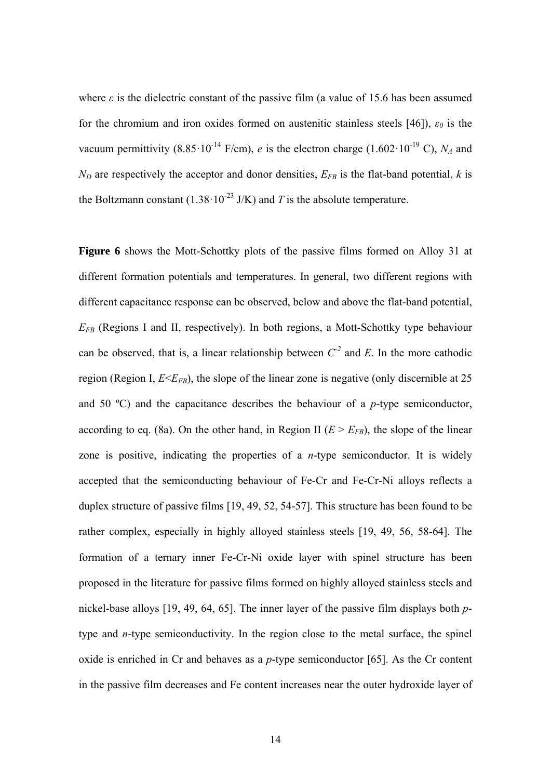where  $\varepsilon$  is the dielectric constant of the passive film (a value of 15.6 has been assumed for the chromium and iron oxides formed on austenitic stainless steels [46]), *ε0* is the vacuum permittivity  $(8.85 \cdot 10^{-14} \text{ F/cm})$ , *e* is the electron charge  $(1.602 \cdot 10^{-19} \text{ C})$ , *N<sub>A</sub>* and  $N_D$  are respectively the acceptor and donor densities,  $E_{FB}$  is the flat-band potential, *k* is the Boltzmann constant (1.38·10<sup>-23</sup> J/K) and *T* is the absolute temperature.

**Figure 6** shows the Mott-Schottky plots of the passive films formed on Alloy 31 at different formation potentials and temperatures. In general, two different regions with different capacitance response can be observed, below and above the flat-band potential, *EFB* (Regions I and II, respectively). In both regions, a Mott-Schottky type behaviour can be observed, that is, a linear relationship between  $C^2$  and *E*. In the more cathodic region (Region I,  $E \le E_{FB}$ ), the slope of the linear zone is negative (only discernible at 25 and 50 ºC) and the capacitance describes the behaviour of a *p*-type semiconductor, according to eq. (8a). On the other hand, in Region II ( $E > E_{FB}$ ), the slope of the linear zone is positive, indicating the properties of a *n*-type semiconductor. It is widely accepted that the semiconducting behaviour of Fe-Cr and Fe-Cr-Ni alloys reflects a duplex structure of passive films [19, 49, 52, 54-57]. This structure has been found to be rather complex, especially in highly alloyed stainless steels [19, 49, 56, 58-64]. The formation of a ternary inner Fe-Cr-Ni oxide layer with spinel structure has been proposed in the literature for passive films formed on highly alloyed stainless steels and nickel-base alloys [19, 49, 64, 65]. The inner layer of the passive film displays both *p*type and *n*-type semiconductivity. In the region close to the metal surface, the spinel oxide is enriched in Cr and behaves as a *p*-type semiconductor [65]. As the Cr content in the passive film decreases and Fe content increases near the outer hydroxide layer of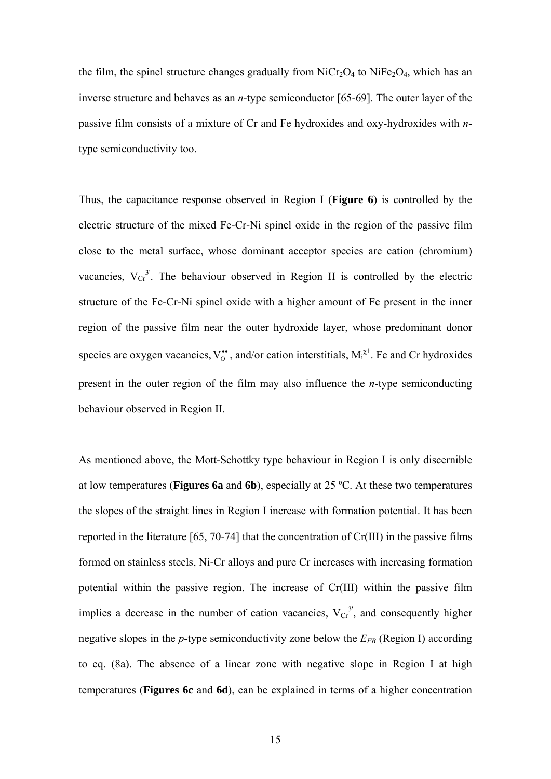the film, the spinel structure changes gradually from  $N_iCr_2O_4$  to  $N_iFe_2O_4$ , which has an inverse structure and behaves as an *n*-type semiconductor [65-69]. The outer layer of the passive film consists of a mixture of Cr and Fe hydroxides and oxy-hydroxides with *n*type semiconductivity too.

Thus, the capacitance response observed in Region I (**Figure 6**) is controlled by the electric structure of the mixed Fe-Cr-Ni spinel oxide in the region of the passive film close to the metal surface, whose dominant acceptor species are cation (chromium) vacancies,  $V_{Cr}^3$ . The behaviour observed in Region II is controlled by the electric structure of the Fe-Cr-Ni spinel oxide with a higher amount of Fe present in the inner region of the passive film near the outer hydroxide layer, whose predominant donor species are oxygen vacancies,  $V_o^{\bullet\bullet}$ , and/or cation interstitials,  $M_i^{\chi^+}$ . Fe and Cr hydroxides present in the outer region of the film may also influence the *n*-type semiconducting behaviour observed in Region II.

As mentioned above, the Mott-Schottky type behaviour in Region I is only discernible at low temperatures (**Figures 6a** and **6b**), especially at 25 ºC. At these two temperatures the slopes of the straight lines in Region I increase with formation potential. It has been reported in the literature [65, 70-74] that the concentration of Cr(III) in the passive films formed on stainless steels, Ni-Cr alloys and pure Cr increases with increasing formation potential within the passive region. The increase of Cr(III) within the passive film implies a decrease in the number of cation vacancies,  $V_{Cr}^{3'}$ , and consequently higher negative slopes in the  $p$ -type semiconductivity zone below the  $E_{FB}$  (Region I) according to eq. (8a). The absence of a linear zone with negative slope in Region I at high temperatures (**Figures 6c** and **6d**), can be explained in terms of a higher concentration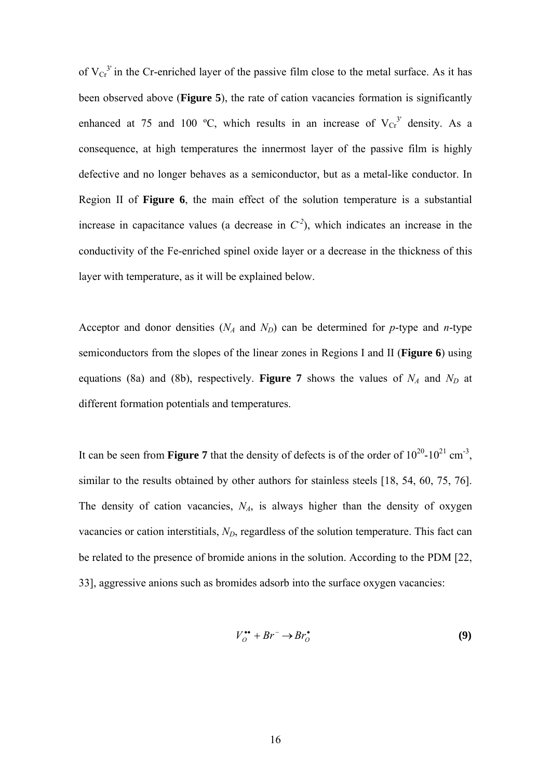of  $V_{Cr}^3$  in the Cr-enriched layer of the passive film close to the metal surface. As it has been observed above (**Figure 5**), the rate of cation vacancies formation is significantly enhanced at 75 and 100 °C, which results in an increase of  $V_{Cr}^{3'}$  density. As a consequence, at high temperatures the innermost layer of the passive film is highly defective and no longer behaves as a semiconductor, but as a metal-like conductor. In Region II of **Figure 6**, the main effect of the solution temperature is a substantial increase in capacitance values (a decrease in  $C^2$ ), which indicates an increase in the conductivity of the Fe-enriched spinel oxide layer or a decrease in the thickness of this layer with temperature, as it will be explained below.

Acceptor and donor densities  $(N_A \text{ and } N_D)$  can be determined for *p*-type and *n*-type semiconductors from the slopes of the linear zones in Regions I and II (**Figure 6**) using equations (8a) and (8b), respectively. **Figure 7** shows the values of  $N_A$  and  $N_D$  at different formation potentials and temperatures.

It can be seen from **Figure 7** that the density of defects is of the order of  $10^{20}$ - $10^{21}$  cm<sup>-3</sup>, similar to the results obtained by other authors for stainless steels [18, 54, 60, 75, 76]. The density of cation vacancies,  $N_A$ , is always higher than the density of oxygen vacancies or cation interstitials, *N<sub>D</sub>*, regardless of the solution temperature. This fact can be related to the presence of bromide anions in the solution. According to the PDM [22, 33], aggressive anions such as bromides adsorb into the surface oxygen vacancies:

$$
V_O^{\bullet\bullet} + Br^- \to Br_O^{\bullet} \tag{9}
$$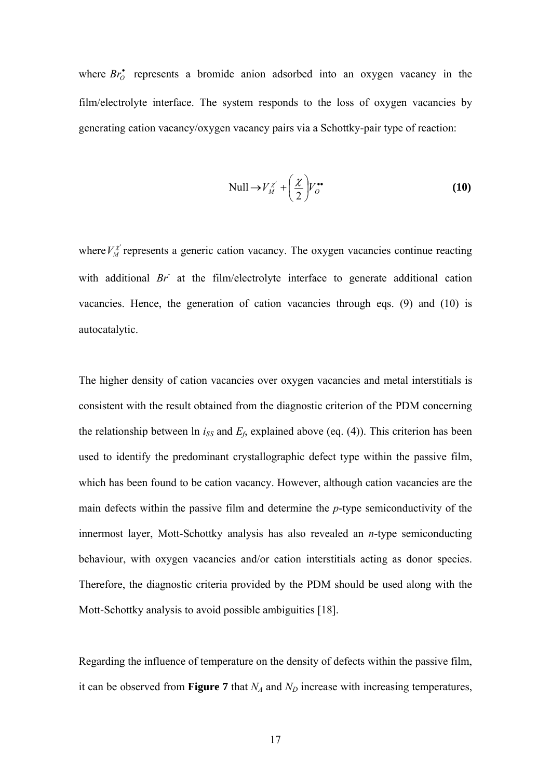where  $Br_0^*$  represents a bromide anion adsorbed into an oxygen vacancy in the film/electrolyte interface. The system responds to the loss of oxygen vacancies by generating cation vacancy/oxygen vacancy pairs via a Schottky-pair type of reaction:

$$
\text{Null} \to V_M^{\chi'} + \left(\frac{\chi}{2}\right) V_O^{\bullet \bullet} \tag{10}
$$

where  $V_M^{\chi'}$  represents a generic cation vacancy. The oxygen vacancies continue reacting with additional *Br*<sup>*a*</sup> at the film/electrolyte interface to generate additional cation vacancies. Hence, the generation of cation vacancies through eqs. (9) and (10) is autocatalytic.

The higher density of cation vacancies over oxygen vacancies and metal interstitials is consistent with the result obtained from the diagnostic criterion of the PDM concerning the relationship between  $\ln i_{SS}$  and  $E_f$ , explained above (eq. (4)). This criterion has been used to identify the predominant crystallographic defect type within the passive film, which has been found to be cation vacancy. However, although cation vacancies are the main defects within the passive film and determine the *p*-type semiconductivity of the innermost layer, Mott-Schottky analysis has also revealed an *n*-type semiconducting behaviour, with oxygen vacancies and/or cation interstitials acting as donor species. Therefore, the diagnostic criteria provided by the PDM should be used along with the Mott-Schottky analysis to avoid possible ambiguities [18].

Regarding the influence of temperature on the density of defects within the passive film, it can be observed from **Figure 7** that  $N_A$  and  $N_D$  increase with increasing temperatures,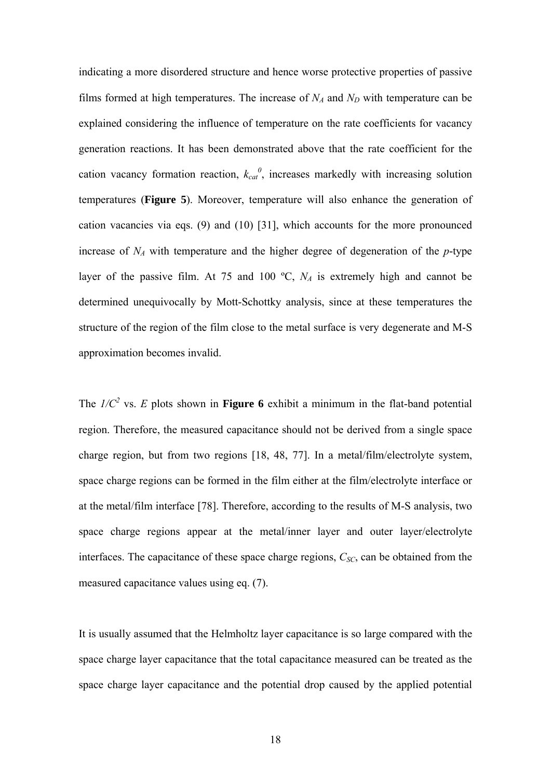indicating a more disordered structure and hence worse protective properties of passive films formed at high temperatures. The increase of  $N_A$  and  $N_D$  with temperature can be explained considering the influence of temperature on the rate coefficients for vacancy generation reactions. It has been demonstrated above that the rate coefficient for the cation vacancy formation reaction,  $k_{cat}^{0}$ , increases markedly with increasing solution temperatures (**Figure 5**). Moreover, temperature will also enhance the generation of cation vacancies via eqs. (9) and (10) [31], which accounts for the more pronounced increase of  $N_A$  with temperature and the higher degree of degeneration of the  $p$ -type layer of the passive film. At 75 and 100  $\textdegree$ C,  $N_A$  is extremely high and cannot be determined unequivocally by Mott-Schottky analysis, since at these temperatures the structure of the region of the film close to the metal surface is very degenerate and M-S approximation becomes invalid.

The  $I/C^2$  vs. *E* plots shown in **Figure 6** exhibit a minimum in the flat-band potential region. Therefore, the measured capacitance should not be derived from a single space charge region, but from two regions [18, 48, 77]. In a metal/film/electrolyte system, space charge regions can be formed in the film either at the film/electrolyte interface or at the metal/film interface [78]. Therefore, according to the results of M-S analysis, two space charge regions appear at the metal/inner layer and outer layer/electrolyte interfaces. The capacitance of these space charge regions,  $C_{SC}$ , can be obtained from the measured capacitance values using eq. (7).

It is usually assumed that the Helmholtz layer capacitance is so large compared with the space charge layer capacitance that the total capacitance measured can be treated as the space charge layer capacitance and the potential drop caused by the applied potential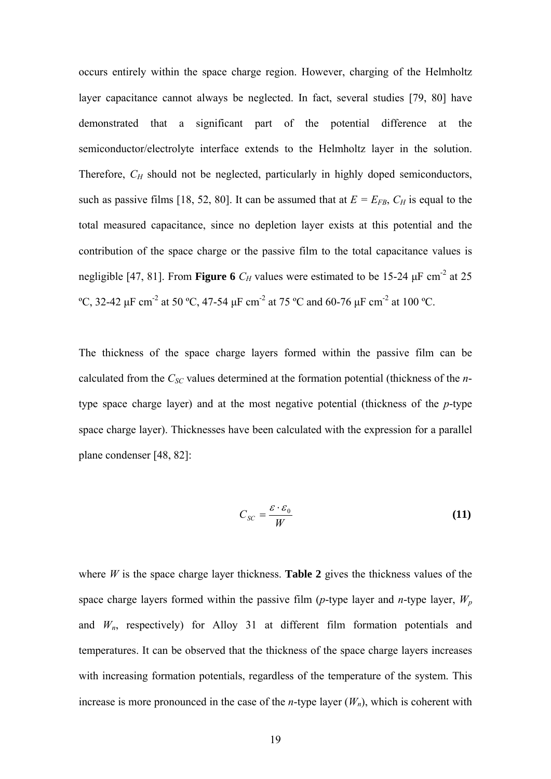occurs entirely within the space charge region. However, charging of the Helmholtz layer capacitance cannot always be neglected. In fact, several studies [79, 80] have demonstrated that a significant part of the potential difference at the semiconductor/electrolyte interface extends to the Helmholtz layer in the solution. Therefore,  $C_H$  should not be neglected, particularly in highly doped semiconductors, such as passive films [18, 52, 80]. It can be assumed that at  $E = E_{FB}$ ,  $C_H$  is equal to the total measured capacitance, since no depletion layer exists at this potential and the contribution of the space charge or the passive film to the total capacitance values is negligible [47, 81]. From **Figure 6**  $C_H$  values were estimated to be 15-24  $\mu$ F cm<sup>-2</sup> at 25 <sup>o</sup>C, 32-42 μF cm<sup>-2</sup> at 50 <sup>o</sup>C, 47-54 μF cm<sup>-2</sup> at 75 <sup>o</sup>C and 60-76 μF cm<sup>-2</sup> at 100 <sup>o</sup>C.

The thickness of the space charge layers formed within the passive film can be calculated from the *C<sub>SC</sub>* values determined at the formation potential (thickness of the *n*type space charge layer) and at the most negative potential (thickness of the *p*-type space charge layer). Thicknesses have been calculated with the expression for a parallel plane condenser [48, 82]:

$$
C_{SC} = \frac{\varepsilon \cdot \varepsilon_0}{W} \tag{11}
$$

where  $W$  is the space charge layer thickness. **Table 2** gives the thickness values of the space charge layers formed within the passive film (*p*-type layer and *n*-type layer, *Wp* and  $W_n$ , respectively) for Alloy 31 at different film formation potentials and temperatures. It can be observed that the thickness of the space charge layers increases with increasing formation potentials, regardless of the temperature of the system. This increase is more pronounced in the case of the *n*-type layer  $(W_n)$ , which is coherent with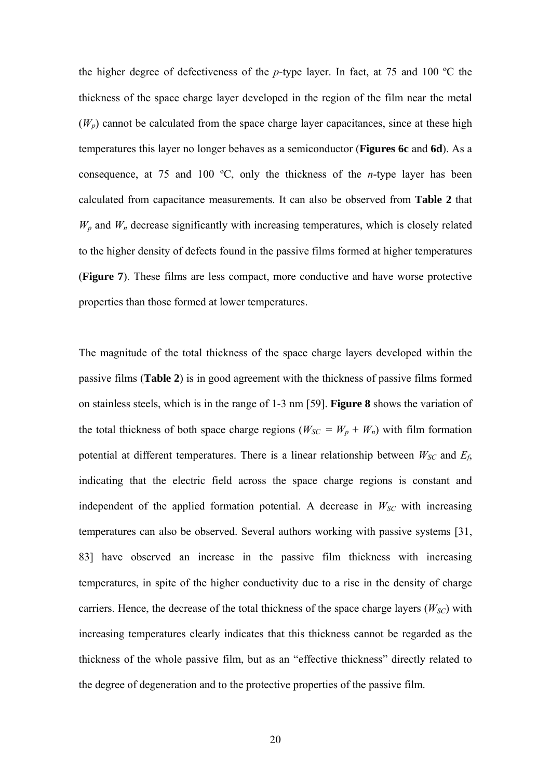the higher degree of defectiveness of the *p*-type layer. In fact, at 75 and 100 ºC the thickness of the space charge layer developed in the region of the film near the metal  $(W_p)$  cannot be calculated from the space charge layer capacitances, since at these high temperatures this layer no longer behaves as a semiconductor (**Figures 6c** and **6d**). As a consequence, at 75 and 100 ºC, only the thickness of the *n*-type layer has been calculated from capacitance measurements. It can also be observed from **Table 2** that  $W_p$  and  $W_n$  decrease significantly with increasing temperatures, which is closely related to the higher density of defects found in the passive films formed at higher temperatures (**Figure 7**). These films are less compact, more conductive and have worse protective properties than those formed at lower temperatures.

The magnitude of the total thickness of the space charge layers developed within the passive films (**Table 2**) is in good agreement with the thickness of passive films formed on stainless steels, which is in the range of 1-3 nm [59]. **Figure 8** shows the variation of the total thickness of both space charge regions ( $W_{SC} = W_p + W_n$ ) with film formation potential at different temperatures. There is a linear relationship between  $W_{SC}$  and  $E_f$ , indicating that the electric field across the space charge regions is constant and independent of the applied formation potential. A decrease in  $W_{SC}$  with increasing temperatures can also be observed. Several authors working with passive systems [31, 83] have observed an increase in the passive film thickness with increasing temperatures, in spite of the higher conductivity due to a rise in the density of charge carriers. Hence, the decrease of the total thickness of the space charge layers  $(W_{SC})$  with increasing temperatures clearly indicates that this thickness cannot be regarded as the thickness of the whole passive film, but as an "effective thickness" directly related to the degree of degeneration and to the protective properties of the passive film.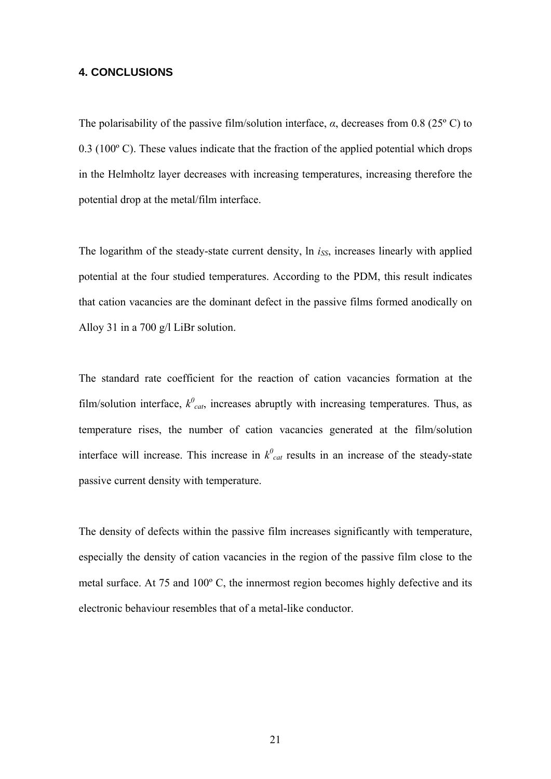## **4. CONCLUSIONS**

The polarisability of the passive film/solution interface, *α*, decreases from 0.8 (25º C) to 0.3 (100º C). These values indicate that the fraction of the applied potential which drops in the Helmholtz layer decreases with increasing temperatures, increasing therefore the potential drop at the metal/film interface.

The logarithm of the steady-state current density, ln *i<sub>SS</sub>*, increases linearly with applied potential at the four studied temperatures. According to the PDM, this result indicates that cation vacancies are the dominant defect in the passive films formed anodically on Alloy 31 in a 700 g/l LiBr solution.

The standard rate coefficient for the reaction of cation vacancies formation at the film/solution interface,  $k^0_{cat}$ , increases abruptly with increasing temperatures. Thus, as temperature rises, the number of cation vacancies generated at the film/solution interface will increase. This increase in  $k^0_{cat}$  results in an increase of the steady-state passive current density with temperature.

The density of defects within the passive film increases significantly with temperature, especially the density of cation vacancies in the region of the passive film close to the metal surface. At 75 and 100º C, the innermost region becomes highly defective and its electronic behaviour resembles that of a metal-like conductor.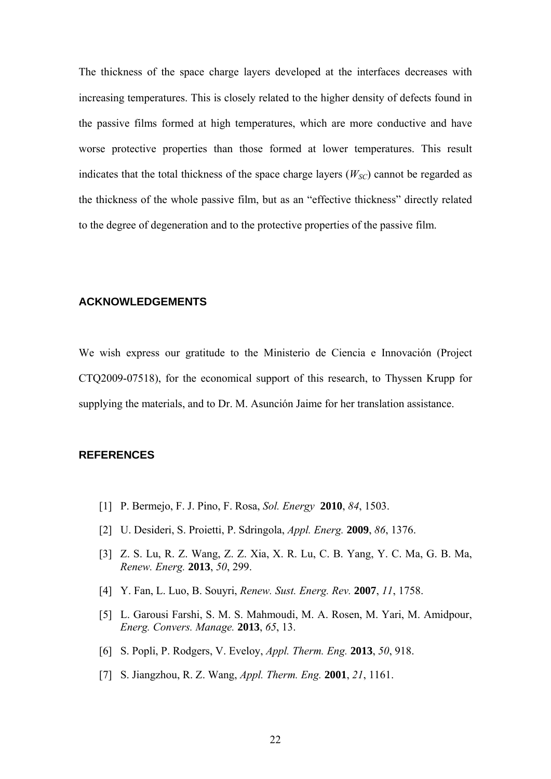The thickness of the space charge layers developed at the interfaces decreases with increasing temperatures. This is closely related to the higher density of defects found in the passive films formed at high temperatures, which are more conductive and have worse protective properties than those formed at lower temperatures. This result indicates that the total thickness of the space charge layers  $(W_{SC})$  cannot be regarded as the thickness of the whole passive film, but as an "effective thickness" directly related to the degree of degeneration and to the protective properties of the passive film.

## **ACKNOWLEDGEMENTS**

We wish express our gratitude to the Ministerio de Ciencia e Innovación (Project CTQ2009-07518), for the economical support of this research, to Thyssen Krupp for supplying the materials, and to Dr. M. Asunción Jaime for her translation assistance.

## **REFERENCES**

- [1] P. Bermejo, F. J. Pino, F. Rosa, *Sol. Energy* **2010**, *84*, 1503.
- [2] U. Desideri, S. Proietti, P. Sdringola, *Appl. Energ.* **2009**, *86*, 1376.
- [3] Z. S. Lu, R. Z. Wang, Z. Z. Xia, X. R. Lu, C. B. Yang, Y. C. Ma, G. B. Ma, *Renew. Energ.* **2013**, *50*, 299.
- [4] Y. Fan, L. Luo, B. Souyri, *Renew. Sust. Energ. Rev.* **2007**, *11*, 1758.
- [5] L. Garousi Farshi, S. M. S. Mahmoudi, M. A. Rosen, M. Yari, M. Amidpour, *Energ. Convers. Manage.* **2013**, *65*, 13.
- [6] S. Popli, P. Rodgers, V. Eveloy, *Appl. Therm. Eng.* **2013**, *50*, 918.
- [7] S. Jiangzhou, R. Z. Wang, *Appl. Therm. Eng.* **2001**, *21*, 1161.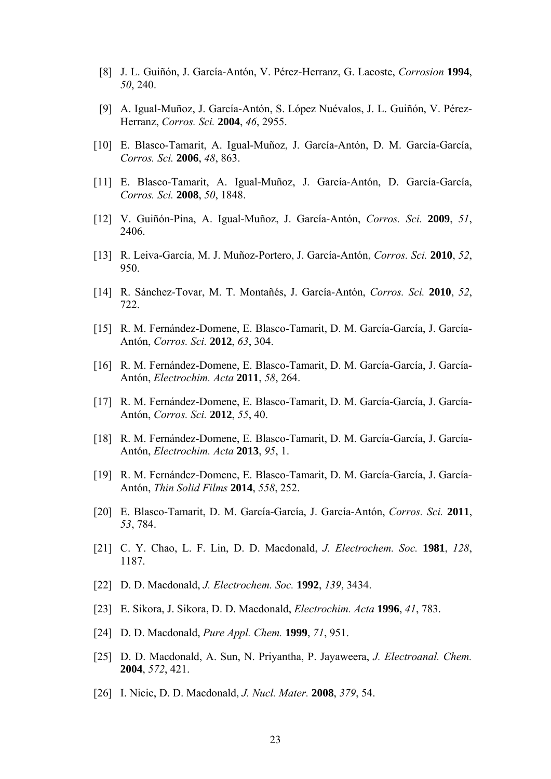- [8] J. L. Guiñón, J. García-Antón, V. Pérez-Herranz, G. Lacoste, *Corrosion* **1994**, *50*, 240.
- [9] A. Igual-Muñoz, J. García-Antón, S. López Nuévalos, J. L. Guiñón, V. Pérez-Herranz, *Corros. Sci.* **2004**, *46*, 2955.
- [10] E. Blasco-Tamarit, A. Igual-Muñoz, J. García-Antón, D. M. García-García, *Corros. Sci.* **2006**, *48*, 863.
- [11] E. Blasco-Tamarit, A. Igual-Muñoz, J. García-Antón, D. García-García, *Corros. Sci.* **2008**, *50*, 1848.
- [12] V. Guiñón-Pina, A. Igual-Muñoz, J. García-Antón, *Corros. Sci.* **2009**, *51*, 2406.
- [13] R. Leiva-García, M. J. Muñoz-Portero, J. García-Antón, *Corros. Sci.* **2010**, *52*, 950.
- [14] R. Sánchez-Tovar, M. T. Montañés, J. García-Antón, *Corros. Sci.* **2010**, *52*, 722.
- [15] R. M. Fernández-Domene, E. Blasco-Tamarit, D. M. García-García, J. García-Antón, *Corros. Sci.* **2012**, *63*, 304.
- [16] R. M. Fernández-Domene, E. Blasco-Tamarit, D. M. García-García, J. García-Antón, *Electrochim. Acta* **2011**, *58*, 264.
- [17] R. M. Fernández-Domene, E. Blasco-Tamarit, D. M. García-García, J. García-Antón, *Corros. Sci.* **2012**, *55*, 40.
- [18] R. M. Fernández-Domene, E. Blasco-Tamarit, D. M. García-García, J. García-Antón, *Electrochim. Acta* **2013**, *95*, 1.
- [19] R. M. Fernández-Domene, E. Blasco-Tamarit, D. M. García-García, J. García-Antón, *Thin Solid Films* **2014**, *558*, 252.
- [20] E. Blasco-Tamarit, D. M. García-García, J. García-Antón, *Corros. Sci.* **2011**, *53*, 784.
- [21] C. Y. Chao, L. F. Lin, D. D. Macdonald, *J. Electrochem. Soc.* **1981**, *128*, 1187.
- [22] D. D. Macdonald, *J. Electrochem. Soc.* **1992**, *139*, 3434.
- [23] E. Sikora, J. Sikora, D. D. Macdonald, *Electrochim. Acta* **1996**, *41*, 783.
- [24] D. D. Macdonald, *Pure Appl. Chem.* **1999**, *71*, 951.
- [25] D. D. Macdonald, A. Sun, N. Priyantha, P. Jayaweera, *J. Electroanal. Chem.*  **2004**, *572*, 421.
- [26] I. Nicic, D. D. Macdonald, *J. Nucl. Mater.* **2008**, *379*, 54.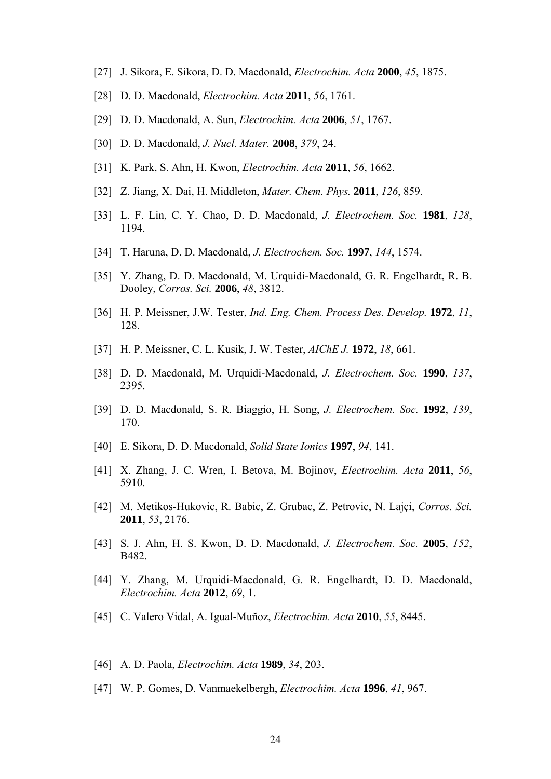- [27] J. Sikora, E. Sikora, D. D. Macdonald, *Electrochim. Acta* **2000**, *45*, 1875.
- [28] D. D. Macdonald, *Electrochim. Acta* **2011**, *56*, 1761.
- [29] D. D. Macdonald, A. Sun, *Electrochim. Acta* **2006**, *51*, 1767.
- [30] D. D. Macdonald, *J. Nucl. Mater.* **2008**, *379*, 24.
- [31] K. Park, S. Ahn, H. Kwon, *Electrochim. Acta* **2011**, *56*, 1662.
- [32] Z. Jiang, X. Dai, H. Middleton, *Mater. Chem. Phys.* **2011**, *126*, 859.
- [33] L. F. Lin, C. Y. Chao, D. D. Macdonald, *J. Electrochem. Soc.* **1981**, *128*, 1194.
- [34] T. Haruna, D. D. Macdonald, *J. Electrochem. Soc.* **1997**, *144*, 1574.
- [35] Y. Zhang, D. D. Macdonald, M. Urquidi-Macdonald, G. R. Engelhardt, R. B. Dooley, *Corros. Sci.* **2006**, *48*, 3812.
- [36] H. P. Meissner, J.W. Tester, *Ind. Eng. Chem. Process Des. Develop.* **1972**, *11*, 128.
- [37] H. P. Meissner, C. L. Kusik, J. W. Tester, *AIChE J.* **1972**, *18*, 661.
- [38] D. D. Macdonald, M. Urquidi-Macdonald, *J. Electrochem. Soc.* **1990**, *137*, 2395.
- [39] D. D. Macdonald, S. R. Biaggio, H. Song, *J. Electrochem. Soc.* **1992**, *139*, 170.
- [40] E. Sikora, D. D. Macdonald, *Solid State Ionics* **1997**, *94*, 141.
- [41] X. Zhang, J. C. Wren, I. Betova, M. Bojinov, *Electrochim. Acta* **2011**, *56*, 5910.
- [42] M. Metikos-Hukovic, R. Babic, Z. Grubac, Z. Petrovic, N. Lajçi, *Corros. Sci.*  **2011**, *53*, 2176.
- [43] S. J. Ahn, H. S. Kwon, D. D. Macdonald, *J. Electrochem. Soc.* **2005**, *152*, B482.
- [44] Y. Zhang, M. Urquidi-Macdonald, G. R. Engelhardt, D. D. Macdonald, *Electrochim. Acta* **2012**, *69*, 1.
- [45] C. Valero Vidal, A. Igual-Muñoz, *Electrochim. Acta* **2010**, *55*, 8445.
- [46] A. D. Paola, *Electrochim. Acta* **1989**, *34*, 203.
- [47] W. P. Gomes, D. Vanmaekelbergh, *Electrochim. Acta* **1996**, *41*, 967.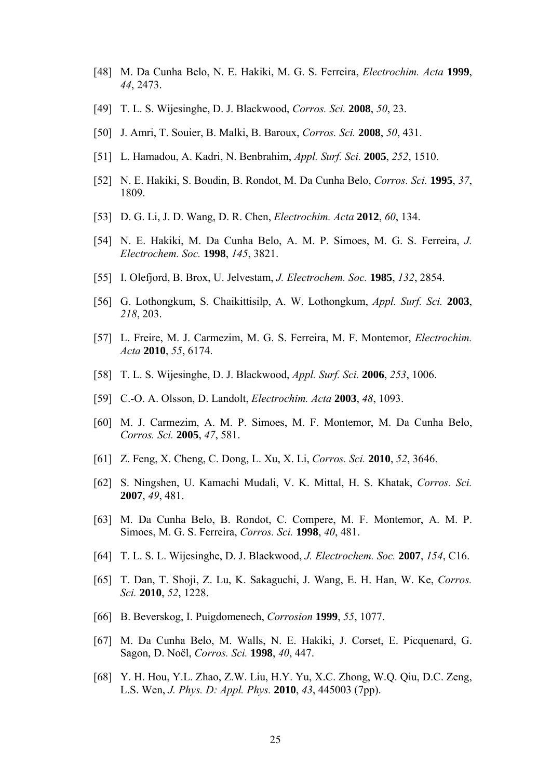- [48] M. Da Cunha Belo, N. E. Hakiki, M. G. S. Ferreira, *Electrochim. Acta* **1999**, *44*, 2473.
- [49] T. L. S. Wijesinghe, D. J. Blackwood, *Corros. Sci.* **2008**, *50*, 23.
- [50] J. Amri, T. Souier, B. Malki, B. Baroux, *Corros. Sci.* **2008**, *50*, 431.
- [51] L. Hamadou, A. Kadri, N. Benbrahim, *Appl. Surf. Sci.* **2005**, *252*, 1510.
- [52] N. E. Hakiki, S. Boudin, B. Rondot, M. Da Cunha Belo, *Corros. Sci.* **1995**, *37*, 1809.
- [53] D. G. Li, J. D. Wang, D. R. Chen, *Electrochim. Acta* **2012**, *60*, 134.
- [54] N. E. Hakiki, M. Da Cunha Belo, A. M. P. Simoes, M. G. S. Ferreira, *J. Electrochem. Soc.* **1998**, *145*, 3821.
- [55] I. Olefjord, B. Brox, U. Jelvestam, *J. Electrochem. Soc.* **1985**, *132*, 2854.
- [56] G. Lothongkum, S. Chaikittisilp, A. W. Lothongkum, *Appl. Surf. Sci.* **2003**, *218*, 203.
- [57] L. Freire, M. J. Carmezim, M. G. S. Ferreira, M. F. Montemor, *Electrochim. Acta* **2010**, *55*, 6174.
- [58] T. L. S. Wijesinghe, D. J. Blackwood, *Appl. Surf. Sci.* **2006**, *253*, 1006.
- [59] C.-O. A. Olsson, D. Landolt, *Electrochim. Acta* **2003**, *48*, 1093.
- [60] M. J. Carmezim, A. M. P. Simoes, M. F. Montemor, M. Da Cunha Belo, *Corros. Sci.* **2005**, *47*, 581.
- [61] Z. Feng, X. Cheng, C. Dong, L. Xu, X. Li, *Corros. Sci.* **2010**, *52*, 3646.
- [62] S. Ningshen, U. Kamachi Mudali, V. K. Mittal, H. S. Khatak, *Corros. Sci.*  **2007**, *49*, 481.
- [63] M. Da Cunha Belo, B. Rondot, C. Compere, M. F. Montemor, A. M. P. Simoes, M. G. S. Ferreira, *Corros. Sci.* **1998**, *40*, 481.
- [64] T. L. S. L. Wijesinghe, D. J. Blackwood, *J. Electrochem. Soc.* **2007**, *154*, C16.
- [65] T. Dan, T. Shoji, Z. Lu, K. Sakaguchi, J. Wang, E. H. Han, W. Ke, *Corros. Sci.* **2010**, *52*, 1228.
- [66] B. Beverskog, I. Puigdomenech, *Corrosion* **1999**, *55*, 1077.
- [67] M. Da Cunha Belo, M. Walls, N. E. Hakiki, J. Corset, E. Picquenard, G. Sagon, D. Noël, *Corros. Sci.* **1998**, *40*, 447.
- [68] Y. H. Hou, Y.L. Zhao, Z.W. Liu, H.Y. Yu, X.C. Zhong, W.Q. Qiu, D.C. Zeng, L.S. Wen, *J. Phys. D: Appl. Phys.* **2010**, *43*, 445003 (7pp).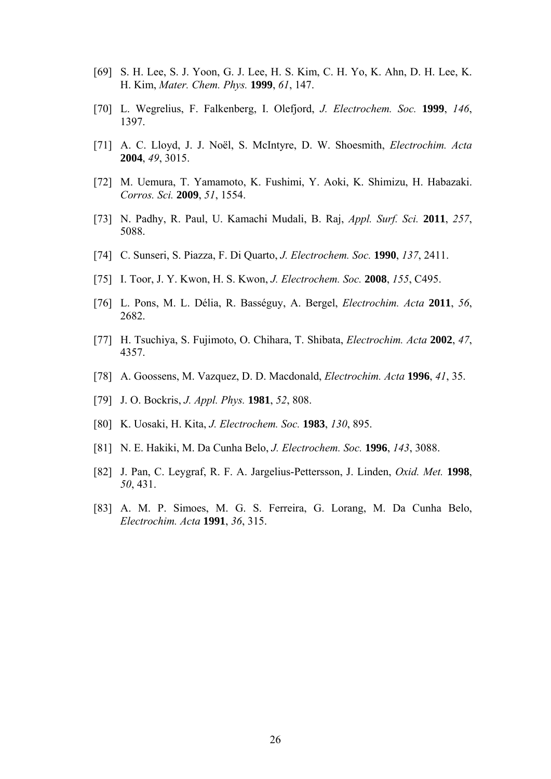- [69] S. H. Lee, S. J. Yoon, G. J. Lee, H. S. Kim, C. H. Yo, K. Ahn, D. H. Lee, K. H. Kim, *Mater. Chem. Phys.* **1999**, *61*, 147.
- [70] L. Wegrelius, F. Falkenberg, I. Olefjord, *J. Electrochem. Soc.* **1999**, *146*, 1397.
- [71] A. C. Lloyd, J. J. Noël, S. McIntyre, D. W. Shoesmith, *Electrochim. Acta*  **2004**, *49*, 3015.
- [72] M. Uemura, T. Yamamoto, K. Fushimi, Y. Aoki, K. Shimizu, H. Habazaki. *Corros. Sci.* **2009**, *51*, 1554.
- [73] N. Padhy, R. Paul, U. Kamachi Mudali, B. Raj, *Appl. Surf. Sci.* **2011**, *257*, 5088.
- [74] C. Sunseri, S. Piazza, F. Di Quarto, *J. Electrochem. Soc.* **1990**, *137*, 2411.
- [75] I. Toor, J. Y. Kwon, H. S. Kwon, *J. Electrochem. Soc.* **2008**, *155*, C495.
- [76] L. Pons, M. L. Délia, R. Basséguy, A. Bergel, *Electrochim. Acta* **2011**, *56*, 2682.
- [77] H. Tsuchiya, S. Fujimoto, O. Chihara, T. Shibata, *Electrochim. Acta* **2002**, *47*, 4357.
- [78] A. Goossens, M. Vazquez, D. D. Macdonald, *Electrochim. Acta* **1996**, *41*, 35.
- [79] J. O. Bockris, *J. Appl. Phys.* **1981**, *52*, 808.
- [80] K. Uosaki, H. Kita, *J. Electrochem. Soc.* **1983**, *130*, 895.
- [81] N. E. Hakiki, M. Da Cunha Belo, *J. Electrochem. Soc.* **1996**, *143*, 3088.
- [82] J. Pan, C. Leygraf, R. F. A. Jargelius-Pettersson, J. Linden, *Oxid. Met.* **1998**, *50*, 431.
- [83] A. M. P. Simoes, M. G. S. Ferreira, G. Lorang, M. Da Cunha Belo, *Electrochim. Acta* **1991**, *36*, 315.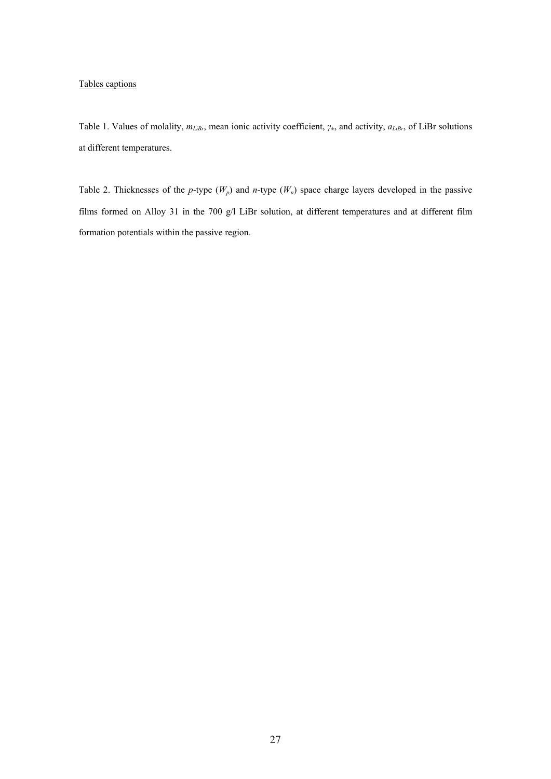#### Tables captions

Table 1. Values of molality,  $m_{Libr}$ , mean ionic activity coefficient,  $γ_+$ , and activity,  $a_{Libr}$ , of LiBr solutions at different temperatures.

Table 2. Thicknesses of the *p*-type  $(W_p)$  and *n*-type  $(W_n)$  space charge layers developed in the passive films formed on Alloy 31 in the 700 g/l LiBr solution, at different temperatures and at different film formation potentials within the passive region.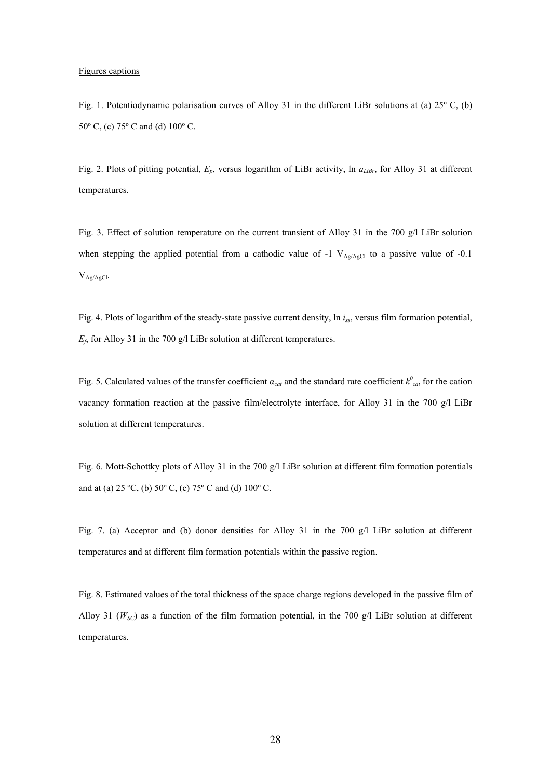#### Figures captions

Fig. 1. Potentiodynamic polarisation curves of Alloy 31 in the different LiBr solutions at (a) 25º C, (b) 50º C, (c) 75º C and (d) 100º C.

Fig. 2. Plots of pitting potential,  $E_p$ , versus logarithm of LiBr activity, ln  $a_{Libr}$ , for Alloy 31 at different temperatures.

Fig. 3. Effect of solution temperature on the current transient of Alloy 31 in the 700 g/l LiBr solution when stepping the applied potential from a cathodic value of -1  $V_{Ag/AgCl}$  to a passive value of -0.1  $V_{Ag/AgCl}$ .

Fig. 4. Plots of logarithm of the steady-state passive current density, ln *iss*, versus film formation potential,  $E_f$ , for Alloy 31 in the 700 g/l LiBr solution at different temperatures.

Fig. 5. Calculated values of the transfer coefficient  $\alpha_{cat}$  and the standard rate coefficient  $k_{cat}^0$  for the cation vacancy formation reaction at the passive film/electrolyte interface, for Alloy 31 in the 700 g/l LiBr solution at different temperatures.

Fig. 6. Mott-Schottky plots of Alloy 31 in the 700 g/l LiBr solution at different film formation potentials and at (a) 25 ºC, (b) 50º C, (c) 75º C and (d) 100º C.

Fig. 7. (a) Acceptor and (b) donor densities for Alloy 31 in the 700 g/l LiBr solution at different temperatures and at different film formation potentials within the passive region.

Fig. 8. Estimated values of the total thickness of the space charge regions developed in the passive film of Alloy 31 ( $W_{SC}$ ) as a function of the film formation potential, in the 700 g/l LiBr solution at different temperatures.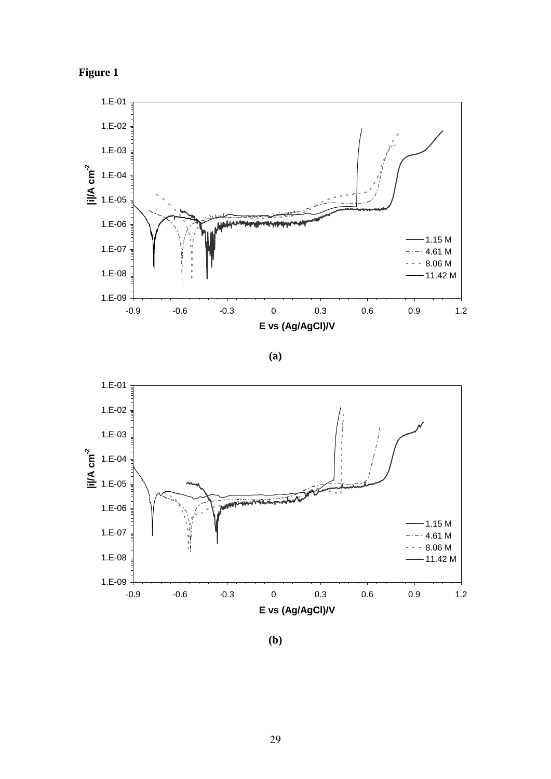



**(a)** 



**(b)**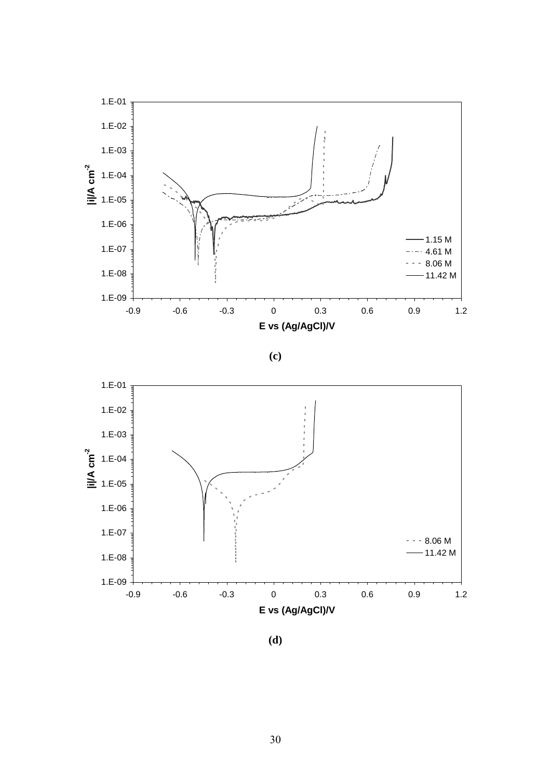





**(d)**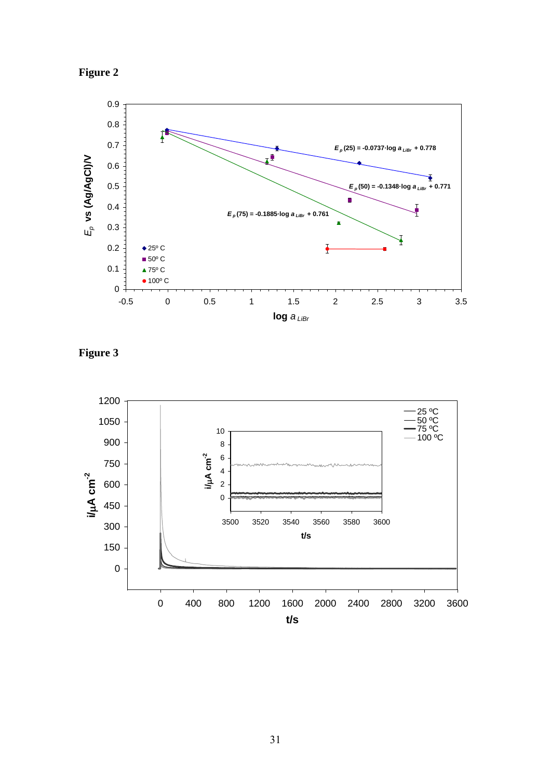



**Figure 3** 

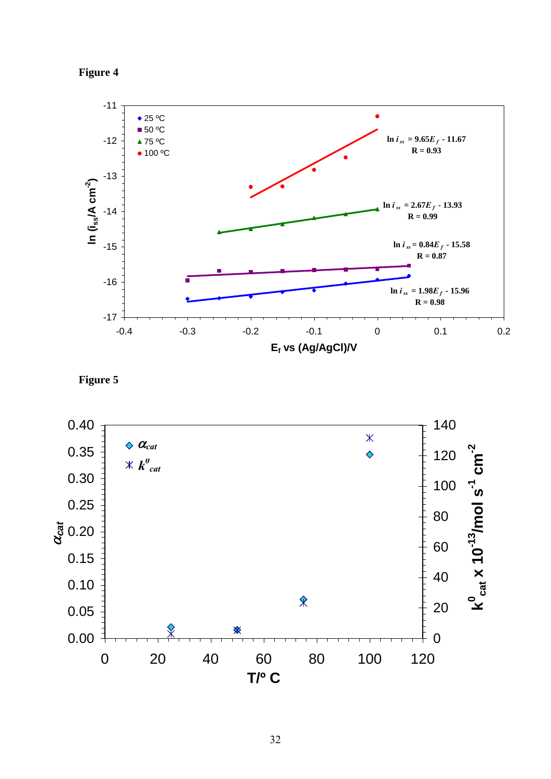



**Figure 5** 

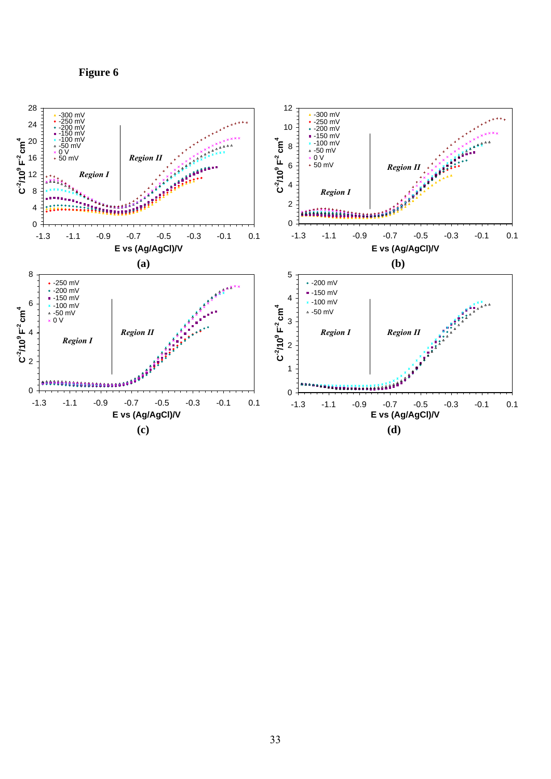**Figure 6** 

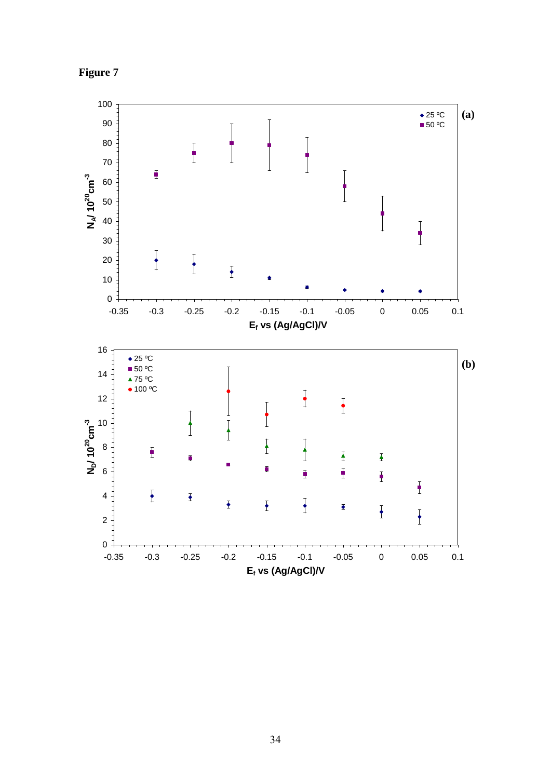

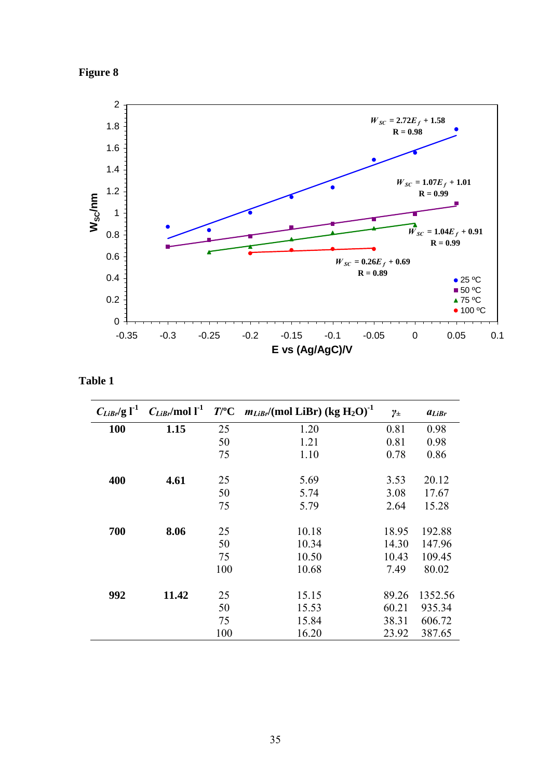



**Table 1** 

| $C_{\text{Libr}}/\text{g}$ $\Gamma^1$ | $C_{Libr}$ /mol l <sup>-1</sup> | $T$ /°C | $m_{Libr}$ /(mol LiBr) (kg H <sub>2</sub> O) <sup>-1</sup> | $\gamma_\pm$ | $a_{LiBr}$ |
|---------------------------------------|---------------------------------|---------|------------------------------------------------------------|--------------|------------|
| <b>100</b>                            | 1.15                            | 25      | 1.20                                                       | 0.81         | 0.98       |
|                                       |                                 | 50      | 1.21                                                       | 0.81         | 0.98       |
|                                       |                                 | 75      | 1.10                                                       | 0.78         | 0.86       |
| 400                                   | 4.61                            | 25      | 5.69                                                       | 3.53         | 20.12      |
|                                       |                                 | 50      | 5.74                                                       | 3.08         | 17.67      |
|                                       |                                 | 75      | 5.79                                                       | 2.64         | 15.28      |
| 700                                   | 8.06                            | 25      | 10.18                                                      | 18.95        | 192.88     |
|                                       |                                 | 50      | 10.34                                                      | 14.30        | 147.96     |
|                                       |                                 | 75      | 10.50                                                      | 10.43        | 109.45     |
|                                       |                                 | 100     | 10.68                                                      | 7.49         | 80.02      |
| 992                                   | 11.42                           | 25      | 15.15                                                      | 89.26        | 1352.56    |
|                                       |                                 | 50      | 15.53                                                      | 60.21        | 935.34     |
|                                       |                                 | 75      | 15.84                                                      | 38.31        | 606.72     |
|                                       |                                 | 100     | 16.20                                                      | 23.92        | 387.65     |